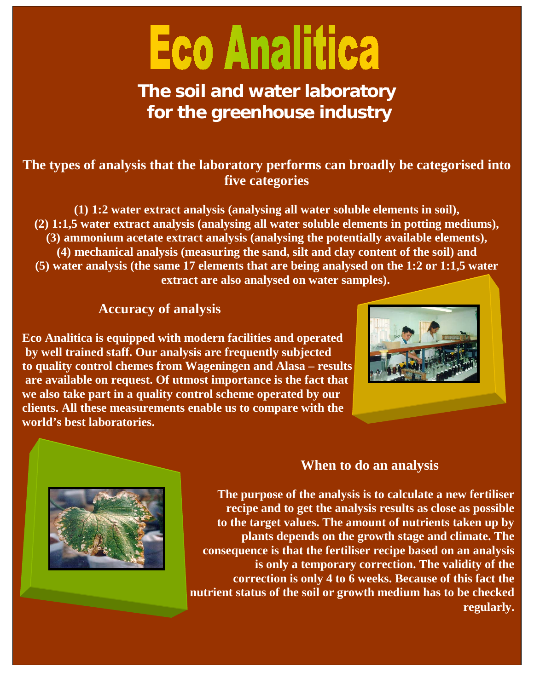# **Eco Analitica**

**The soil and water laboratory for the greenhouse industry**

# **The types of analysis that the laboratory performs can broadly be categorised into five categories**

**(1) 1:2 water extract analysis (analysing all water soluble elements in soil), (2) 1:1,5 water extract analysis (analysing all water soluble elements in potting mediums), (3) ammonium acetate extract analysis (analysing the potentially available elements), (4) mechanical analysis (measuring the sand, silt and clay content of the soil) and (5) water analysis (the same 17 elements that are being analysed on the 1:2 or 1:1,5 water extract are also analysed on water samples).**

## **Accuracy of analysis**

**Eco Analitica is equipped with modern facilities and operated by well trained staff. Our analysis are frequently subjected to quality control chemes from Wageningen and Alasa – results are available on request. Of utmost importance is the fact that we also take part in a quality control scheme operated by our clients. All these measurements enable us to compare with the world's best laboratories.** 





# **When to do an analysis**

**The purpose of the analysis is to calculate a new fertiliser recipe and to get the analysis results as close as possible to the target values. The amount of nutrients taken up by plants depends on the growth stage and climate. The consequence is that the fertiliser recipe based on an analysis is only a temporary correction. The validity of the correction is only 4 to 6 weeks. Because of this fact the nutrient status of the soil or growth medium has to be checked regularly.**